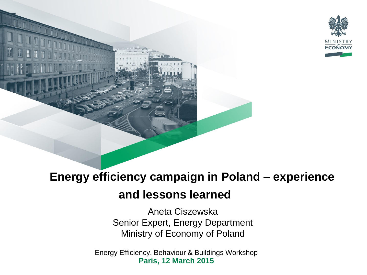

## **Energy efficiency campaign in Poland – experience**

### **and lessons learned**

Aneta Ciszewska Senior Expert, Energy Department Ministry of Economy of Poland

Energy Efficiency, Behaviour & Buildings Workshop **Paris, 12 March 2015**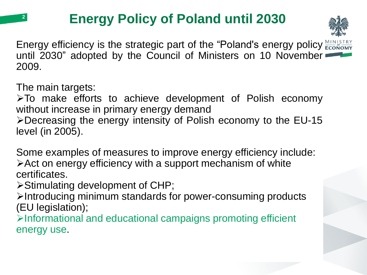# **Energy Policy of Poland until 2030**



Energy efficiency is the strategic part of the "Poland's energy policy  $\frac{\text{MINISTRY}}{\text{ECONOMY}}$ until 2030" adopted by the Council of Ministers on 10 November 2009.

The main targets:

**2**

To make efforts to achieve development of Polish economy without increase in primary energy demand Decreasing the energy intensity of Polish economy to the EU-15 level (in 2005).

Some examples of measures to improve energy efficiency include: Act on energy efficiency with a support mechanism of white certificates.

Stimulating development of CHP;

Introducing minimum standards for power-consuming products (EU legislation);

 $\triangleright$ Informational and educational campaigns promoting efficient energy use.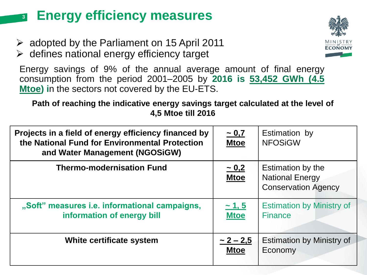#### **Energy efficiency measures 3**

- $\geq$  adopted by the Parliament on 15 April 2011
- $\triangleright$  defines national energy efficiency target

Energy savings of 9% of the annual average amount of final energy consumption from the period 2001–2005 by **2016 is 53,452 GWh (4.5 Mtoe) i**n the sectors not covered by the EU-ETS.

**Path of reaching the indicative energy savings target calculated at the level of 4,5 Mtoe till 2016**

| Projects in a field of energy efficiency financed by<br>the National Fund for Environmental Protection<br>and Water Management (NGOSiGW) | ~1.7<br><b>Mtoe</b>           | Estimation by<br><b>NFOSiGW</b>                                           |
|------------------------------------------------------------------------------------------------------------------------------------------|-------------------------------|---------------------------------------------------------------------------|
| <b>Thermo-modernisation Fund</b>                                                                                                         | $-0,2$<br><b>Mtoe</b>         | Estimation by the<br><b>National Energy</b><br><b>Conservation Agency</b> |
| "Soft" measures i.e. informational campaigns,<br>information of energy bill                                                              | ~1, 5<br><b>Mtoe</b>          | <b>Estimation by Ministry of</b><br><b>Finance</b>                        |
| White certificate system                                                                                                                 | $\sim$ 2 – 2,5<br><b>Mtoe</b> | <b>Estimation by Ministry of</b><br>Economy                               |

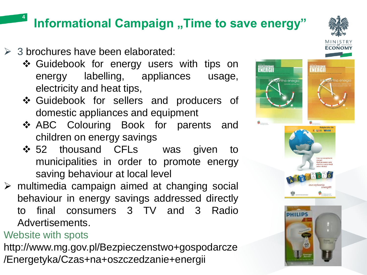## **Informational Campaign "Time to save energy"**

- $\geq$  3 brochures have been elaborated:
	- ❖ Guidebook for energy users with tips on energy labelling, appliances usage, electricity and heat tips,
	- Guidebook for sellers and producers of domestic appliances and equipment
	- ABC Colouring Book for parents and children on energy savings
	- ❖ 52 thousand CFLs was given to municipalities in order to promote energy saving behaviour at local level
- $\triangleright$  multimedia campaign aimed at changing social behaviour in energy savings addressed directly to final consumers 3 TV and 3 Radio Advertisements.

### Website with spots

**4**

http://www.mg.gov.pl/Bezpieczenstwo+gospodarcze /Energetyka/Czas+na+oszczedzanie+energii



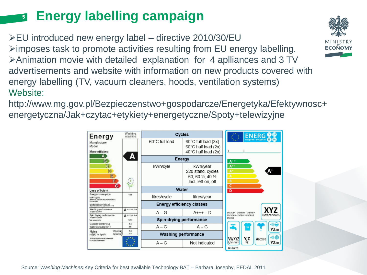#### **Energy labelling campaign 5**

EU introduced new energy label – directive 2010/30/EU  $\triangleright$  imposes task to promote activities resulting from EU energy labelling. Animation movie with detailed explanation for 4 aplliances and 3 TV advertisements and website with information on new products covered with energy labelling (TV, vacuum cleaners, hoods, ventilation systems) Website:

http://www.mg.gov.pl/Bezpieczenstwo+gospodarcze/Energetyka/Efektywnosc+ energetyczna/Jak+czytac+etykiety+energetyczne/Spoty+telewizyjne



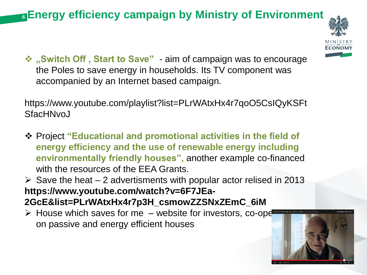## **Energy efficiency campaign by Ministry of Environment 6**



 **"Switch Off , Start to Save"** - aim of campaign was to encourage the Poles to save energy in households. Its TV component was accompanied by an Internet based campaign.

https://www.youtube.com/playlist?list=PLrWAtxHx4r7qoO5CsIQyKSFt **SfacHNvoJ** 

 Project **"Educational and promotional activities in the field of energy efficiency and the use of renewable energy including environmentally friendly houses",** another example co-financed with the resources of the EEA Grants.

 $\triangleright$  Save the heat – 2 advertisments with popular actor relised in 2013 **https://www.youtube.com/watch?v=6F7JEa-2GcE&list=PLrWAtxHx4r7p3H\_csmowZZSNxZEmC\_6iM** 

 $\triangleright$  House which saves for me – website for investors, co-operative on passive and energy efficient houses

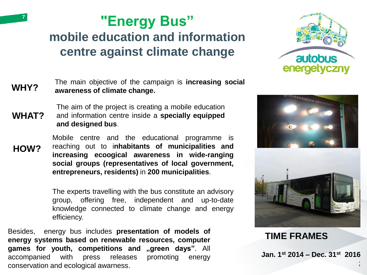# **"Energy Bus" mobile education and information centre against climate change**



#### **WHY?** The main objective of the campaign is **increasing social awareness of climate change.**

**WHAT?** The aim of the project is creating a mobile education and information centre inside a **specially equipped and designed bus**.

**HOW?**

**7**

Mobile centre and the educational programme is reaching out to i**nhabitants of municipalities and increasing ecoogical awareness in wide-ranging social groups (representatives of local government, entrepreneurs, residents)** in **200 municipalities**.

The experts travelling with the bus constitute an advisory group, offering free, independent and up-to-date knowledge connected to climate change and energy efficiency.

Besides, energy bus includes **presentation of models of energy systems based on renewable resources, computer games for youth, competitions and "green days"**. All accompanied with press releases promoting energy conservation and ecological awarness.



**TIME FRAMES**

**Jan. 1st 2014 – Dec. 31st 2016**

;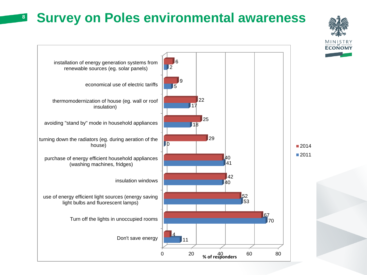## **Survey on Poles environmental awareness**